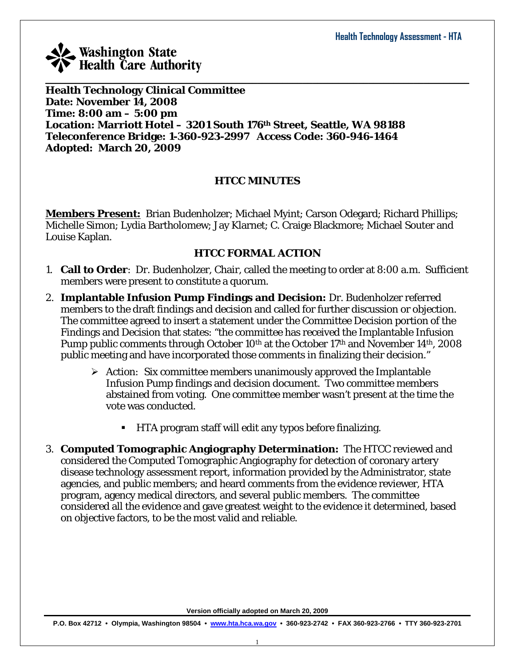

**Health Technology Clinical Committee Date: November 14, 2008 Time: 8:00 am – 5:00 pm Location: Marriott Hotel – 3201 South 176th Street, Seattle, WA 98188 Teleconference Bridge: 1-360-923-2997 Access Code: 360-946-1464 Adopted: March 20, 2009** 

#### **HTCC MINUTES**

**Members Present:** Brian Budenholzer; Michael Myint; Carson Odegard; Richard Phillips; Michelle Simon; Lydia Bartholomew; Jay Klarnet; C. Craige Blackmore; Michael Souter and Louise Kaplan.

#### **HTCC FORMAL ACTION**

- 1. **Call to Order**: Dr. Budenholzer, Chair, called the meeting to order at 8:00 a.m. Sufficient members were present to constitute a quorum.
- 2. **Implantable Infusion Pump Findings and Decision:** Dr. Budenholzer referred members to the draft findings and decision and called for further discussion or objection. The committee agreed to insert a statement under the Committee Decision portion of the Findings and Decision that states: "the committee has received the Implantable Infusion Pump public comments through October 10<sup>th</sup> at the October 17<sup>th</sup> and November 14<sup>th</sup>, 2008 public meeting and have incorporated those comments in finalizing their decision."
	- ¾ *Action:* Six committee members unanimously approved the Implantable Infusion Pump findings and decision document. Two committee members abstained from voting. One committee member wasn't present at the time the vote was conducted.
		- HTA program staff will edit any typos before finalizing.
- 3. **Computed Tomographic Angiography Determination:** The HTCC reviewed and considered the Computed Tomographic Angiography for detection of coronary artery disease technology assessment report, information provided by the Administrator, state agencies, and public members; and heard comments from the evidence reviewer, HTA program, agency medical directors, and several public members. The committee considered all the evidence and gave greatest weight to the evidence it determined, based on objective factors, to be the most valid and reliable.

**Version officially adopted on March 20, 2009**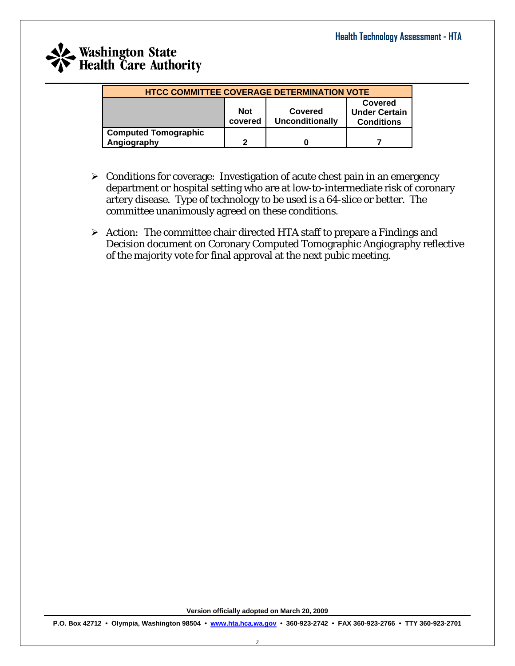## **Washington State**<br>Health Care Authority  $\_$  , and the set of the set of the set of the set of the set of the set of the set of the set of the set of the set of the set of the set of the set of the set of the set of the set of the set of the set of the set of th

| <b>HTCC COMMITTEE COVERAGE DETERMINATION VOTE</b> |                                                                                                                    |  |  |  |  |  |
|---------------------------------------------------|--------------------------------------------------------------------------------------------------------------------|--|--|--|--|--|
|                                                   | Covered<br><b>Not</b><br>Covered<br><b>Under Certain</b><br><b>Unconditionally</b><br>covered<br><b>Conditions</b> |  |  |  |  |  |
| <b>Computed Tomographic</b><br>Angiography        | 2                                                                                                                  |  |  |  |  |  |

- $\triangleright$  Conditions for coverage: Investigation of acute chest pain in an emergency department or hospital setting who are at low-to-intermediate risk of coronary artery disease. Type of technology to be used is a 64-slice or better. The committee unanimously agreed on these conditions.
- ¾ *Action:* The committee chair directed HTA staff to prepare a Findings and Decision document on Coronary Computed Tomographic Angiography reflective of the majority vote for final approval at the next pubic meeting.

**Version officially adopted on March 20, 2009**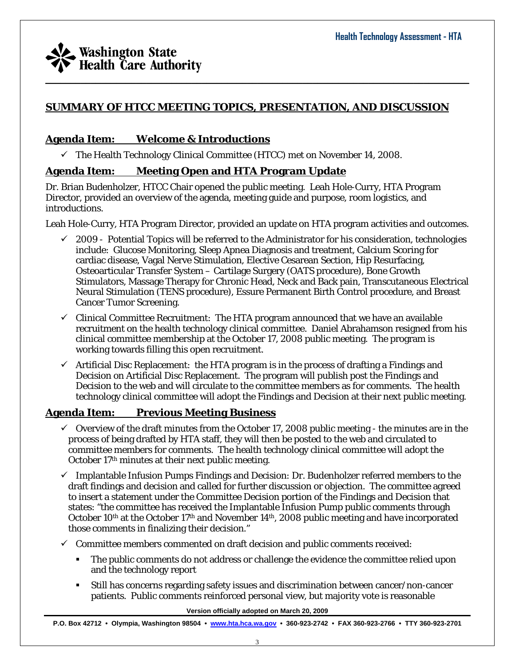

#### **SUMMARY OF HTCC MEETING TOPICS, PRESENTATION, AND DISCUSSION**

#### **Agenda Item: Welcome & Introductions**

 $\checkmark$  The Health Technology Clinical Committee (HTCC) met on November 14, 2008.

#### **Agenda Item: Meeting Open and HTA Program Update**

Dr. Brian Budenholzer, HTCC Chair opened the public meeting. Leah Hole-Curry, HTA Program Director, provided an overview of the agenda, meeting guide and purpose, room logistics, and introductions.

Leah Hole-Curry, HTA Program Director, provided an update on HTA program activities and outcomes.

- 9 2009 Potential Topics will be referred to the Administrator for his consideration, technologies include: Glucose Monitoring, Sleep Apnea Diagnosis and treatment, Calcium Scoring for cardiac disease, Vagal Nerve Stimulation, Elective Cesarean Section, Hip Resurfacing, Osteoarticular Transfer System – Cartilage Surgery (OATS procedure), Bone Growth Stimulators, Massage Therapy for Chronic Head, Neck and Back pain, Transcutaneous Electrical Neural Stimulation (TENS procedure), Essure Permanent Birth Control procedure, and Breast Cancer Tumor Screening.
- $\checkmark$  Clinical Committee Recruitment: The HTA program announced that we have an available recruitment on the health technology clinical committee. Daniel Abrahamson resigned from his clinical committee membership at the October 17, 2008 public meeting. The program is working towards filling this open recruitment.
- $\checkmark$  Artificial Disc Replacement: the HTA program is in the process of drafting a Findings and Decision on Artificial Disc Replacement. The program will publish post the Findings and Decision to the web and will circulate to the committee members as for comments. The health technology clinical committee will adopt the Findings and Decision at their next public meeting.

#### **Agenda Item: Previous Meeting Business**

- $\checkmark$  Overview of the draft minutes from the October 17, 2008 public meeting the minutes are in the process of being drafted by HTA staff, they will then be posted to the web and circulated to committee members for comments. The health technology clinical committee will adopt the October 17th minutes at their next public meeting.
- $\checkmark$  Implantable Infusion Pumps Findings and Decision: Dr. Budenholzer referred members to the draft findings and decision and called for further discussion or objection. The committee agreed to insert a statement under the Committee Decision portion of the Findings and Decision that states: "the committee has received the Implantable Infusion Pump public comments through October 10<sup>th</sup> at the October 17<sup>th</sup> and November 14<sup>th</sup>, 2008 public meeting and have incorporated those comments in finalizing their decision."
- $\checkmark$  Committee members commented on draft decision and public comments received:
	- The public comments do not address or challenge the evidence the committee relied upon and the technology report
	- Still has concerns regarding safety issues and discrimination between cancer/non-cancer patients. Public comments reinforced personal view, but majority vote is reasonable

**Version officially adopted on March 20, 2009**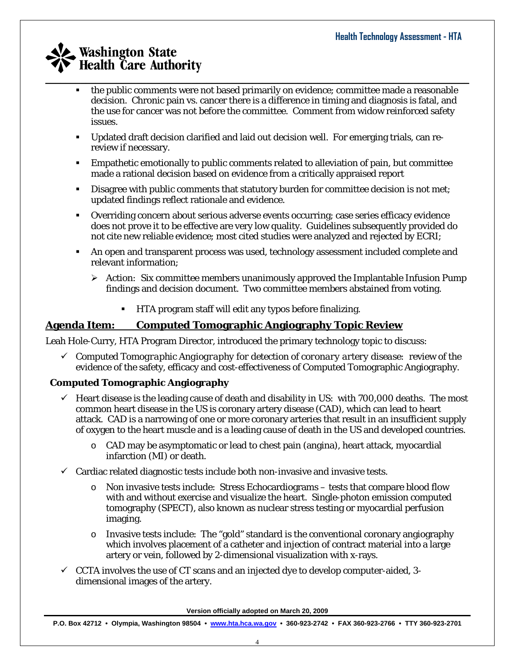- the public comments were not based primarily on evidence; committee made a reasonable decision. Chronic pain vs. cancer there is a difference in timing and diagnosis is fatal, and the use for cancer was not before the committee. Comment from widow reinforced safety issues.
- Updated draft decision clarified and laid out decision well. For emerging trials, can rereview if necessary.

 $\_$  , and the set of the set of the set of the set of the set of the set of the set of the set of the set of the set of the set of the set of the set of the set of the set of the set of the set of the set of the set of th

- Empathetic emotionally to public comments related to alleviation of pain, but committee made a rational decision based on evidence from a critically appraised report
- Disagree with public comments that statutory burden for committee decision is not met; updated findings reflect rationale and evidence.
- Overriding concern about serious adverse events occurring; case series efficacy evidence does not prove it to be effective are very low quality. Guidelines subsequently provided do not cite new reliable evidence; most cited studies were analyzed and rejected by ECRI;
- An open and transparent process was used, technology assessment included complete and relevant information;
	- ¾ *Action:* Six committee members unanimously approved the Implantable Infusion Pump findings and decision document. Two committee members abstained from voting.
		- HTA program staff will edit any typos before finalizing.

#### **Agenda Item: Computed Tomographic Angiography Topic Review**

Leah Hole-Curry, HTA Program Director, introduced the primary technology topic to discuss:

9 *Computed Tomographic Angiography for detection of coronary artery disease:* review of the evidence of the safety, efficacy and cost-effectiveness of Computed Tomographic Angiography.

#### **Computed Tomographic Angiography**

- $\checkmark$  Heart disease is the leading cause of death and disability in US: with 700,000 deaths. The most common heart disease in the US is coronary artery disease (CAD), which can lead to heart attack. CAD is a narrowing of one or more coronary arteries that result in an insufficient supply of oxygen to the heart muscle and is a leading cause of death in the US and developed countries.
	- o CAD may be asymptomatic or lead to chest pain (angina), heart attack, myocardial infarction (MI) or death.
- $\checkmark$  Cardiac related diagnostic tests include both non-invasive and invasive tests.
	- o Non invasive tests include: Stress Echocardiograms tests that compare blood flow with and without exercise and visualize the heart. Single-photon emission computed tomography (SPECT), also known as nuclear stress testing or myocardial perfusion imaging.
	- $\circ$  Invasive tests include: The "gold" standard is the conventional coronary angiography which involves placement of a catheter and injection of contract material into a large artery or vein, followed by 2-dimensional visualization with x-rays.
- $\checkmark$  CCTA involves the use of CT scans and an injected dye to develop computer-aided, 3dimensional images of the artery.

**Version officially adopted on March 20, 2009**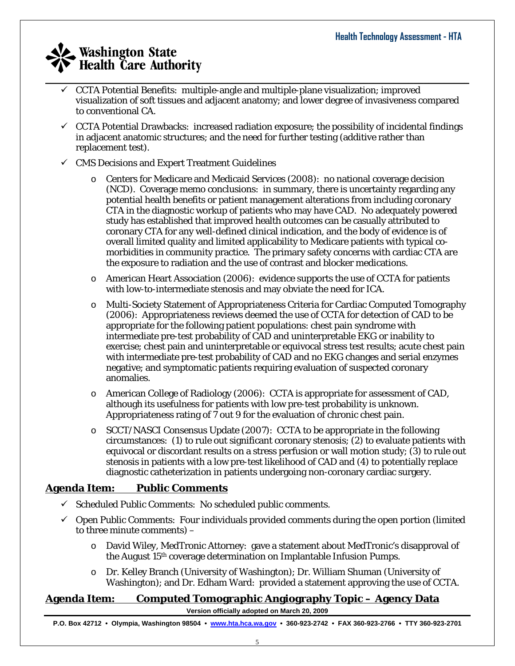- $\_$  , and the set of the set of the set of the set of the set of the set of the set of the set of the set of the set of the set of the set of the set of the set of the set of the set of the set of the set of the set of th 9 CCTA Potential Benefits: multiple-angle and multiple-plane visualization; improved visualization of soft tissues and adjacent anatomy; and lower degree of invasiveness compared to conventional CA.
	- $\checkmark$  CCTA Potential Drawbacks: increased radiation exposure; the possibility of incidental findings in adjacent anatomic structures; and the need for further testing (additive rather than replacement test).
	- $\checkmark$  CMS Decisions and Expert Treatment Guidelines
		- o Centers for Medicare and Medicaid Services (2008): no national coverage decision (NCD). Coverage memo conclusions: in summary, there is uncertainty regarding any potential health benefits or patient management alterations from including coronary CTA in the diagnostic workup of patients who may have CAD. No adequately powered study has established that improved health outcomes can be casually attributed to coronary CTA for any well-defined clinical indication, and the body of evidence is of overall limited quality and limited applicability to Medicare patients with typical comorbidities in community practice. The primary safety concerns with cardiac CTA are the exposure to radiation and the use of contrast and blocker medications.
		- $\circ$  American Heart Association (2006): evidence supports the use of CCTA for patients with low-to-intermediate stenosis and may obviate the need for ICA.
		- o Multi-Society Statement of Appropriateness Criteria for Cardiac Computed Tomography (2006): Appropriateness reviews deemed the use of CCTA for detection of CAD to be appropriate for the following patient populations: chest pain syndrome with intermediate pre-test probability of CAD and uninterpretable EKG or inability to exercise; chest pain and uninterpretable or equivocal stress test results; acute chest pain with intermediate pre-test probability of CAD and no EKG changes and serial enzymes negative; and symptomatic patients requiring evaluation of suspected coronary anomalies.
		- o American College of Radiology (2006): CCTA is appropriate for assessment of CAD, although its usefulness for patients with low pre-test probability is unknown. Appropriateness rating of 7 out 9 for the evaluation of chronic chest pain.
		- o SCCT/NASCI Consensus Update (2007): CCTA to be appropriate in the following circumstances: (1) to rule out significant coronary stenosis; (2) to evaluate patients with equivocal or discordant results on a stress perfusion or wall motion study; (3) to rule out stenosis in patients with a low pre-test likelihood of CAD and (4) to potentially replace diagnostic catheterization in patients undergoing non-coronary cardiac surgery.

#### **Agenda Item: Public Comments**

- $\checkmark$  Scheduled Public Comments: No scheduled public comments.
- $\check{\phantom{\phi}}$  Open Public Comments: Four individuals provided comments during the open portion (limited to three minute comments) –
	- o David Wiley, MedTronic Attorney: gave a statement about MedTronic's disapproval of the August 15th coverage determination on Implantable Infusion Pumps.
	- o Dr. Kelley Branch (University of Washington); Dr. William Shuman (University of Washington); and Dr. Edham Ward: provided a statement approving the use of CCTA.

#### **Agenda Item: Computed Tomographic Angiography Topic – Agency Data**

**Version officially adopted on March 20, 2009**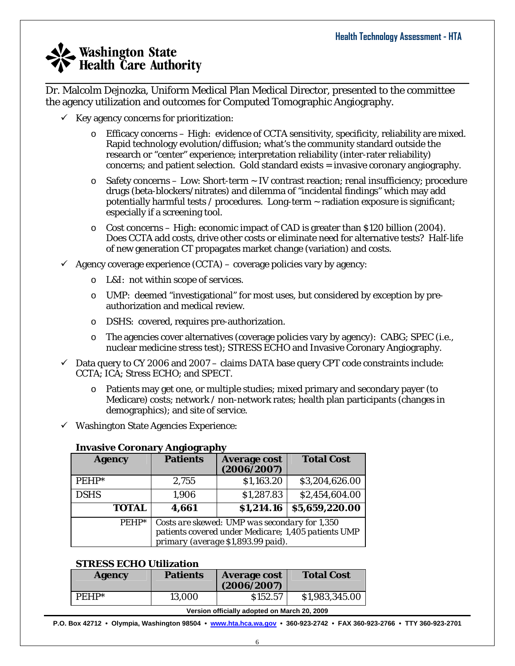$\_$  , and the set of the set of the set of the set of the set of the set of the set of the set of the set of the set of the set of the set of the set of the set of the set of the set of the set of the set of the set of th Dr. Malcolm Dejnozka, Uniform Medical Plan Medical Director, presented to the committee the agency utilization and outcomes for Computed Tomographic Angiography.

- $\checkmark$  Key agency concerns for prioritization:
	- o Efficacy concerns High: evidence of CCTA sensitivity, specificity, reliability are mixed. Rapid technology evolution/diffusion; what's the community standard outside the research or "center" experience; interpretation reliability (inter-rater reliability) concerns; and patient selection. Gold standard exists = invasive coronary angiography.
	- o Safety concerns Low: Short-term ~ IV contrast reaction; renal insufficiency; procedure drugs (beta-blockers/nitrates) and dilemma of "incidental findings" which may add potentially harmful tests / procedures. Long-term  $\sim$  radiation exposure is significant; especially if a screening tool.
	- $\circ$  Cost concerns High: economic impact of CAD is greater than \$120 billion (2004). Does CCTA add costs, drive other costs or eliminate need for alternative tests? Half-life of new generation CT propagates market change (variation) and costs.
- $\checkmark$  Agency coverage experience (CCTA) coverage policies vary by agency:
	- o L&I: not within scope of services.
	- o UMP: deemed "investigational" for most uses, but considered by exception by preauthorization and medical review.
	- o DSHS: covered, requires pre-authorization.
	- o The agencies cover alternatives (coverage policies vary by agency): CABG; SPEC (i.e., nuclear medicine stress test); STRESS ECHO and Invasive Coronary Angiography.
- $\checkmark$  Data query to CY 2006 and 2007 claims DATA base query CPT code constraints include: CCTA; ICA; Stress ECHO; and SPECT.
	- o Patients may get one, or multiple studies; mixed primary and secondary payer (to Medicare) costs; network / non-network rates; health plan participants (changes in demographics); and site of service.
- $\checkmark$  Washington State Agencies Experience:

#### **Invasive Coronary Angiography**

| <b>Agency</b> | <b>Patients</b>                                                                                                                            | <b>Average cost</b><br>(2006/2007) | <b>Total Cost</b> |  |
|---------------|--------------------------------------------------------------------------------------------------------------------------------------------|------------------------------------|-------------------|--|
| $PEHP*$       | 2,755                                                                                                                                      | \$1,163.20                         | \$3,204,626.00    |  |
| <b>DSHS</b>   | 1,906                                                                                                                                      | \$1,287.83                         | \$2,454,604.00    |  |
| <b>TOTAL</b>  | 4,661                                                                                                                                      | \$1,214.16                         | \$5,659,220.00    |  |
| $PEHP*$       | Costs are skewed: UMP was secondary for 1,350<br>patients covered under Medicare; 1,405 patients UMP<br>primary (average \$1,893.99 paid). |                                    |                   |  |

#### **STRESS ECHO Utilization**

| Agency  | <b>Patients</b> | <b>Average cost</b><br>(2006/2007) | <b>Total Cost</b> |
|---------|-----------------|------------------------------------|-------------------|
| $PFHP*$ | 13,000          | \$152.57                           | \$1,983,345.00    |

#### **Version officially adopted on March 20, 2009**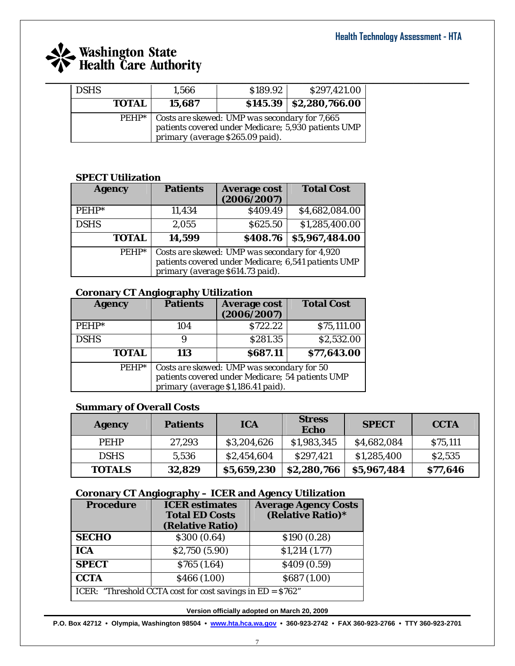# **Example 18 Exercise State**<br>**Final Health Care Authority**

| <b>DSHS</b> |              | 1,566  | \$189.92                                                                                                | \$297,421.00                                        |
|-------------|--------------|--------|---------------------------------------------------------------------------------------------------------|-----------------------------------------------------|
|             | <b>TOTAL</b> | 15,687 |                                                                                                         | $$145.39 \mid $2,280,766.00$                        |
|             |              |        | $\overline{PEHP^*}$   Costs are skewed: UMP was secondary for 7,665<br>primary (average \$265.09 paid). | patients covered under Medicare; 5,930 patients UMP |

#### **SPECT Utilization**

| <b>Agency</b> | <b>Patients</b>                                                                                                                          | <b>Average cost</b><br>(2006/2007) | <b>Total Cost</b> |
|---------------|------------------------------------------------------------------------------------------------------------------------------------------|------------------------------------|-------------------|
| $PEHP*$       | 11,434                                                                                                                                   | \$409.49                           | \$4,682,084.00    |
| <b>DSHS</b>   | 2,055                                                                                                                                    | \$625.50                           | \$1,285,400.00    |
| <b>TOTAL</b>  | 14,599                                                                                                                                   | \$408.76                           | \$5,967,484.00    |
| $PEHP*$       | Costs are skewed: UMP was secondary for 4,920<br>patients covered under Medicare; 6,541 patients UMP<br>primary (average \$614.73 paid). |                                    |                   |

#### **Coronary CT Angiography Utilization**

| <b>Agency</b> | <b>Patients</b>                                                                                                                      | <b>Average cost</b><br>(2006/2007) | <b>Total Cost</b> |
|---------------|--------------------------------------------------------------------------------------------------------------------------------------|------------------------------------|-------------------|
| $PEHP*$       | 104                                                                                                                                  | \$722.22                           | \$75,111.00       |
| <b>DSHS</b>   | 9                                                                                                                                    | \$281.35                           | \$2,532.00        |
| <b>TOTAL</b>  | 113                                                                                                                                  | \$687.11                           | \$77,643.00       |
| $PEHP*$       | Costs are skewed: UMP was secondary for 50<br>patients covered under Medicare; 54 patients UMP<br>primary (average \$1,186.41 paid). |                                    |                   |

#### **Summary of Overall Costs**

| <b>Agency</b> | <b>Patients</b> | <b>ICA</b>  | <b>Stress</b><br>Echo | <b>SPECT</b> | <b>CCTA</b> |
|---------------|-----------------|-------------|-----------------------|--------------|-------------|
| <b>PEHP</b>   | 27,293          | \$3,204,626 | \$1,983,345           | \$4,682,084  | \$75,111    |
| <b>DSHS</b>   | 5,536           | \$2,454,604 | \$297,421             | \$1,285,400  | \$2,535     |
| <b>TOTALS</b> | 32,829          | \$5,659,230 | \$2,280,766           | \$5,967,484  | \$77,646    |

#### **Coronary CT Angiography – ICER and Agency Utilization**

| <b>Procedure</b>                                           | <b>ICER</b> estimates | <b>Average Agency Costs</b> |  |  |
|------------------------------------------------------------|-----------------------|-----------------------------|--|--|
|                                                            | <b>Total ED Costs</b> | (Relative Ratio)*           |  |  |
|                                                            | (Relative Ratio)      |                             |  |  |
| <b>SECHO</b>                                               | \$300 (0.64)          | \$190 (0.28)                |  |  |
| <b>ICA</b>                                                 | \$2,750 (5.90)        | \$1,214(1.77)               |  |  |
| <b>SPECT</b>                                               | \$765 (1.64)          | \$409 (0.59)                |  |  |
| <b>CCTA</b>                                                | \$466 (1.00)          | \$687 (1.00)                |  |  |
| ICER: "Threshold CCTA cost for cost savings in ED = \$762" |                       |                             |  |  |

**Version officially adopted on March 20, 2009**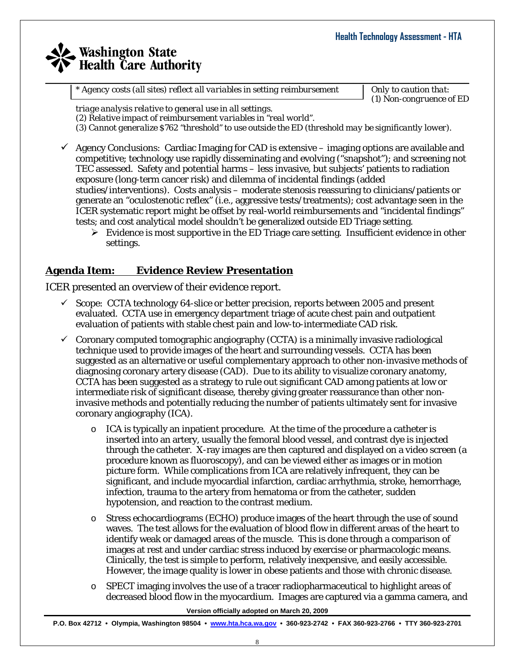### **Washington State Health Care Authority**  $\_$  , and the set of the set of the set of the set of the set of the set of the set of the set of the set of the set of the set of the set of the set of the set of the set of the set of the set of the set of the set of th

*\* Agency costs (all sites) reflect all variables in setting reimbursement*

*Only to caution that: (1) Non-congruence of ED* 

*triage analysis relative to general use in all settings.* 

*(2) Relative impact of reimbursement variables in "real world". (3) Cannot generalize \$762 "threshold" to use outside the ED (threshold may be significantly lower).* 

- $\checkmark$  Agency Conclusions: Cardiac Imaging for CAD is extensive imaging options are available and competitive; technology use rapidly disseminating and evolving ("snapshot"); and screening not TEC assessed. Safety and potential harms – less invasive, but subjects' patients to radiation exposure (long-term cancer risk) and dilemma of incidental findings (added studies/interventions). Costs analysis – moderate stenosis reassuring to clinicians/patients or generate an "oculostenotic reflex" (i.e., aggressive tests/treatments); cost advantage seen in the ICER systematic report might be offset by real-world reimbursements and "incidental findings" tests; and cost analytical model shouldn't be generalized outside ED Triage setting.
	- $\triangleright$  Evidence is most supportive in the ED Triage care setting. Insufficient evidence in other settings.

#### **Agenda Item: Evidence Review Presentation**

ICER presented an overview of their evidence report.

- $\checkmark$  Scope: CCTA technology 64-slice or better precision, reports between 2005 and present evaluated. CCTA use in emergency department triage of acute chest pain and outpatient evaluation of patients with stable chest pain and low-to-intermediate CAD risk.
- $\checkmark$  Coronary computed tomographic angiography (CCTA) is a minimally invasive radiological technique used to provide images of the heart and surrounding vessels. CCTA has been suggested as an alternative or useful complementary approach to other non-invasive methods of diagnosing coronary artery disease (CAD). Due to its ability to visualize coronary anatomy, CCTA has been suggested as a strategy to rule out significant CAD among patients at low or intermediate risk of significant disease, thereby giving greater reassurance than other noninvasive methods and potentially reducing the number of patients ultimately sent for invasive coronary angiography (ICA).
	- $\circ$  ICA is typically an inpatient procedure. At the time of the procedure a catheter is inserted into an artery, usually the femoral blood vessel, and contrast dye is injected through the catheter. X-ray images are then captured and displayed on a video screen (a procedure known as fluoroscopy), and can be viewed either as images or in motion picture form. While complications from ICA are relatively infrequent, they can be significant, and include myocardial infarction, cardiac arrhythmia, stroke, hemorrhage, infection, trauma to the artery from hematoma or from the catheter, sudden hypotension, and reaction to the contrast medium.
	- o Stress echocardiograms (ECHO) produce images of the heart through the use of sound waves. The test allows for the evaluation of blood flow in different areas of the heart to identify weak or damaged areas of the muscle. This is done through a comparison of images at rest and under cardiac stress induced by exercise or pharmacologic means. Clinically, the test is simple to perform, relatively inexpensive, and easily accessible. However, the image quality is lower in obese patients and those with chronic disease.
	- $\circ$  SPECT imaging involves the use of a tracer radiopharmaceutical to highlight areas of decreased blood flow in the myocardium. Images are captured via a gamma camera, and

**Version officially adopted on March 20, 2009**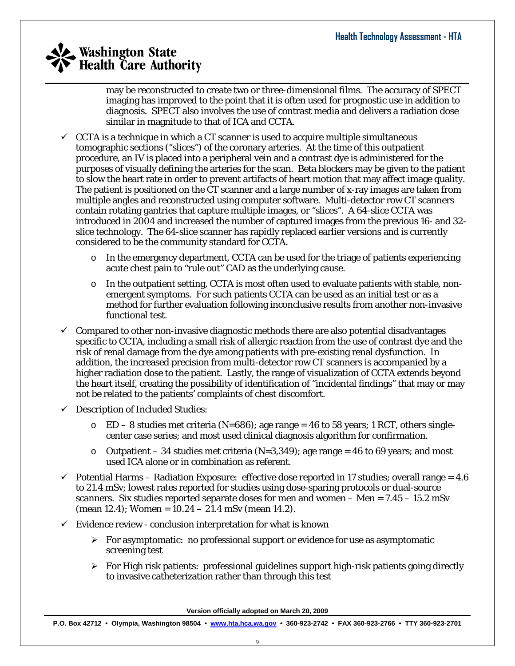$\_$  , and the set of the set of the set of the set of the set of the set of the set of the set of the set of the set of the set of the set of the set of the set of the set of the set of the set of the set of the set of th may be reconstructed to create two or three-dimensional films. The accuracy of SPECT imaging has improved to the point that it is often used for prognostic use in addition to diagnosis. SPECT also involves the use of contrast media and delivers a radiation dose similar in magnitude to that of ICA and CCTA.

- $\checkmark$  CCTA is a technique in which a CT scanner is used to acquire multiple simultaneous tomographic sections ("slices") of the coronary arteries. At the time of this outpatient procedure, an IV is placed into a peripheral vein and a contrast dye is administered for the purposes of visually defining the arteries for the scan. Beta blockers may be given to the patient to slow the heart rate in order to prevent artifacts of heart motion that may affect image quality. The patient is positioned on the CT scanner and a large number of x-ray images are taken from multiple angles and reconstructed using computer software. Multi-detector row CT scanners contain rotating gantries that capture multiple images, or "slices". A 64-slice CCTA was introduced in 2004 and increased the number of captured images from the previous 16- and 32 slice technology. The 64-slice scanner has rapidly replaced earlier versions and is currently considered to be the community standard for CCTA.
	- o In the emergency department, CCTA can be used for the triage of patients experiencing acute chest pain to "rule out" CAD as the underlying cause.
	- $\circ$  In the outpatient setting, CCTA is most often used to evaluate patients with stable, nonemergent symptoms. For such patients CCTA can be used as an initial test or as a method for further evaluation following inconclusive results from another non-invasive functional test.
- $\checkmark$  Compared to other non-invasive diagnostic methods there are also potential disadvantages specific to CCTA, including a small risk of allergic reaction from the use of contrast dye and the risk of renal damage from the dye among patients with pre-existing renal dysfunction. In addition, the increased precision from multi-detector row CT scanners is accompanied by a higher radiation dose to the patient. Lastly, the range of visualization of CCTA extends beyond the heart itself, creating the possibility of identification of "incidental findings" that may or may not be related to the patients' complaints of chest discomfort.
- $\checkmark$  Description of Included Studies:
	- $\degree$  ED 8 studies met criteria (N=686); age range = 46 to 58 years; 1 RCT, others singlecenter case series; and most used clinical diagnosis algorithm for confirmation.
	- $\circ$  Outpatient 34 studies met criteria (N=3,349); age range = 46 to 69 years; and most used ICA alone or in combination as referent.
- $\checkmark$  Potential Harms Radiation Exposure: effective dose reported in 17 studies; overall range = 4.6 to 21.4 mSv; lowest rates reported for studies using dose-sparing protocols or dual-source scanners. Six studies reported separate doses for men and women  $-$  Men  $= 7.45 - 15.2$  mSv  $(mean 12.4)$ ; Women =  $10.24 - 21.4$  mSv (mean 14.2).
- $\checkmark$  Evidence review conclusion interpretation for what is known
	- $\triangleright$  For asymptomatic: no professional support or evidence for use as asymptomatic screening test
	- $\triangleright$  For High risk patients: professional guidelines support high-risk patients going directly to invasive catheterization rather than through this test

**Version officially adopted on March 20, 2009**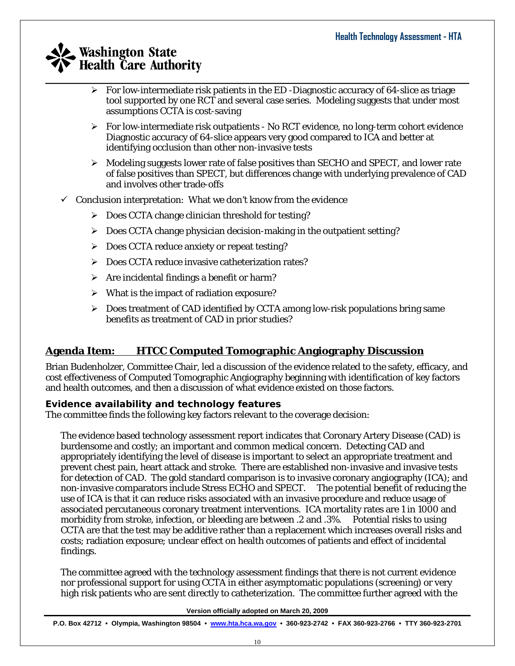- $\_$  , and the set of the set of the set of the set of the set of the set of the set of the set of the set of the set of the set of the set of the set of the set of the set of the set of the set of the set of the set of th  $\triangleright$  For low-intermediate risk patients in the ED -Diagnostic accuracy of 64-slice as triage tool supported by one RCT and several case series. Modeling suggests that under most assumptions CCTA is cost-saving
	- $\triangleright$  For low-intermediate risk outpatients No RCT evidence, no long-term cohort evidence Diagnostic accuracy of 64-slice appears very good compared to ICA and better at identifying occlusion than other non-invasive tests
	- $\triangleright$  Modeling suggests lower rate of false positives than SECHO and SPECT, and lower rate of false positives than SPECT, but differences change with underlying prevalence of CAD and involves other trade-offs
	- $\checkmark$  Conclusion interpretation: What we don't know from the evidence
		- ¾ Does CCTA change clinician threshold for testing?
		- $\triangleright$  Does CCTA change physician decision-making in the outpatient setting?
		- ¾ Does CCTA reduce anxiety or repeat testing?
		- ¾ Does CCTA reduce invasive catheterization rates?
		- $\triangleright$  Are incidental findings a benefit or harm?
		- $\triangleright$  What is the impact of radiation exposure?
		- $\triangleright$  Does treatment of CAD identified by CCTA among low-risk populations bring same benefits as treatment of CAD in prior studies?

#### **Agenda Item: HTCC Computed Tomographic Angiography Discussion**

Brian Budenholzer, Committee Chair, led a discussion of the evidence related to the safety, efficacy, and cost effectiveness of Computed Tomographic Angiography beginning with identification of key factors and health outcomes, and then a discussion of what evidence existed on those factors.

#### **Evidence availability and technology features**

The committee finds the following key factors relevant to the coverage decision:

The evidence based technology assessment report indicates that Coronary Artery Disease (CAD) is burdensome and costly; an important and common medical concern. Detecting CAD and appropriately identifying the level of disease is important to select an appropriate treatment and prevent chest pain, heart attack and stroke. There are established non-invasive and invasive tests for detection of CAD. The gold standard comparison is to invasive coronary angiography (ICA); and non-invasive comparators include Stress ECHO and SPECT. The potential benefit of reducing the use of ICA is that it can reduce risks associated with an invasive procedure and reduce usage of associated percutaneous coronary treatment interventions. ICA mortality rates are 1 in 1000 and morbidity from stroke, infection, or bleeding are between .2 and .3%. Potential risks to using CCTA are that the test may be additive rather than a replacement which increases overall risks and costs; radiation exposure; unclear effect on health outcomes of patients and effect of incidental findings.

The committee agreed with the technology assessment findings that there is not current evidence nor professional support for using CCTA in either asymptomatic populations (screening) or very high risk patients who are sent directly to catheterization. The committee further agreed with the

**Version officially adopted on March 20, 2009**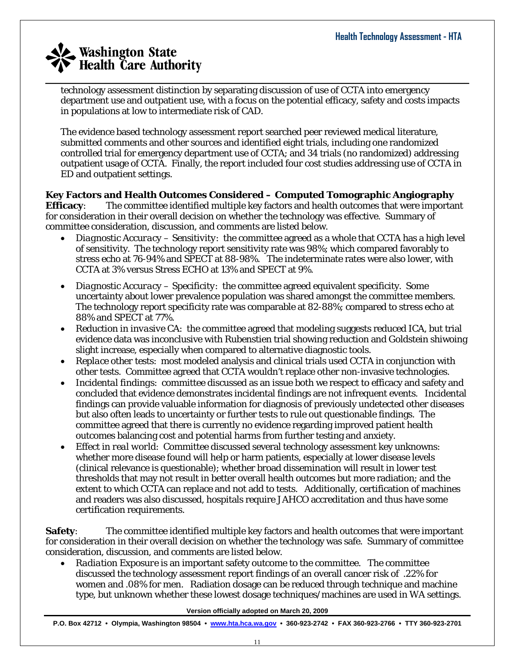$\_$  , and the set of the set of the set of the set of the set of the set of the set of the set of the set of the set of the set of the set of the set of the set of the set of the set of the set of the set of the set of th technology assessment distinction by separating discussion of use of CCTA into emergency department use and outpatient use, with a focus on the potential efficacy, safety and costs impacts in populations at low to intermediate risk of CAD.

The evidence based technology assessment report searched peer reviewed medical literature, submitted comments and other sources and identified eight trials, including one randomized controlled trial for emergency department use of CCTA; and 34 trials (no randomized) addressing outpatient usage of CCTA. Finally, the report included four cost studies addressing use of CCTA in ED and outpatient settings.

**Key Factors and Health Outcomes Considered – Computed Tomographic Angiography Efficacy**: The committee identified multiple key factors and health outcomes that were important for consideration in their overall decision on whether the technology was effective. Summary of committee consideration, discussion, and comments are listed below.

- *Diagnostic Accuracy Sensitivity*: the committee agreed as a whole that CCTA has a high level of sensitivity. The technology report sensitivity rate was 98%; which compared favorably to stress echo at 76-94% and SPECT at 88-98%. The indeterminate rates were also lower, with CCTA at 3% versus Stress ECHO at 13% and SPECT at 9%.
- *Diagnostic Accuracy Specificity*: the committee agreed equivalent specificity. Some uncertainty about lower prevalence population was shared amongst the committee members. The technology report specificity rate was comparable at 82-88%; compared to stress echo at 88% and SPECT at 77%.
- *Reduction in invasive CA*: the committee agreed that modeling suggests reduced ICA, but trial evidence data was inconclusive with Rubenstien trial showing reduction and Goldstein shiwoing slight increase, especially when compared to alternative diagnostic tools.
- *Replace other tests*: most modeled analysis and clinical trials used CCTA in conjunction with other tests. Committee agreed that CCTA wouldn't replace other non-invasive technologies.
- *Incidental findings*: committee discussed as an issue both we respect to efficacy and safety and concluded that evidence demonstrates incidental findings are not infrequent events. Incidental findings can provide valuable information for diagnosis of previously undetected other diseases but also often leads to uncertainty or further tests to rule out questionable findings. The committee agreed that there is currently no evidence regarding improved patient health outcomes balancing cost and potential harms from further testing and anxiety.
- *Effect in real world*: Committee discussed several technology assessment key unknowns: whether more disease found will help or harm patients, especially at lower disease levels (clinical relevance is questionable); whether broad dissemination will result in lower test thresholds that may not result in better overall health outcomes but more radiation; and the extent to which CCTA can replace and not add to tests. Additionally, certification of machines and readers was also discussed, hospitals require JAHCO accreditation and thus have some certification requirements.

**Safety**: The committee identified multiple key factors and health outcomes that were important for consideration in their overall decision on whether the technology was safe. Summary of committee consideration, discussion, and comments are listed below.

• *Radiation Exposure* is an important safety outcome to the committee. The committee discussed the technology assessment report findings of an overall cancer risk of .22% for women and .08% for men. Radiation dosage can be reduced through technique and machine type, but unknown whether these lowest dosage techniques/machines are used in WA settings.

**Version officially adopted on March 20, 2009**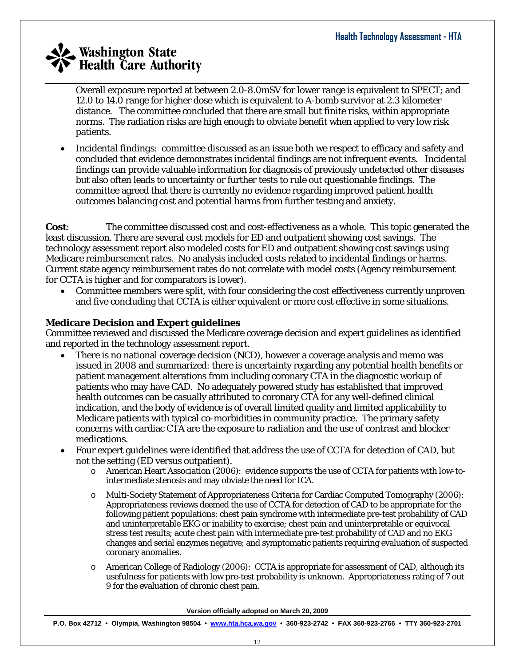Overall exposure reported at between 2.0-8.0mSV for lower range is equivalent to SPECT; and 12.0 to 14.0 range for higher dose which is equivalent to A-bomb survivor at 2.3 kilometer distance. The committee concluded that there are small but finite risks, within appropriate norms. The radiation risks are high enough to obviate benefit when applied to very low risk patients.

 $\_$  , and the set of the set of the set of the set of the set of the set of the set of the set of the set of the set of the set of the set of the set of the set of the set of the set of the set of the set of the set of th

• *Incidental findings*: committee discussed as an issue both we respect to efficacy and safety and concluded that evidence demonstrates incidental findings are not infrequent events. Incidental findings can provide valuable information for diagnosis of previously undetected other diseases but also often leads to uncertainty or further tests to rule out questionable findings. The committee agreed that there is currently no evidence regarding improved patient health outcomes balancing cost and potential harms from further testing and anxiety.

**Cost**: The committee discussed cost and cost-effectiveness as a whole. This topic generated the least discussion. There are several cost models for ED and outpatient showing cost savings. The technology assessment report also modeled costs for ED and outpatient showing cost savings using Medicare reimbursement rates. No analysis included costs related to incidental findings or harms. Current state agency reimbursement rates do not correlate with model costs (Agency reimbursement for CCTA is higher and for comparators is lower).

• Committee members were split, with four considering the cost effectiveness currently unproven and five concluding that CCTA is either equivalent or more cost effective in some situations.

#### **Medicare Decision and Expert guidelines**

Committee reviewed and discussed the Medicare coverage decision and expert guidelines as identified and reported in the technology assessment report.

- There is no national coverage decision (NCD), however a coverage analysis and memo was issued in 2008 and summarized: there is uncertainty regarding any potential health benefits or patient management alterations from including coronary CTA in the diagnostic workup of patients who may have CAD. No adequately powered study has established that improved health outcomes can be casually attributed to coronary CTA for any well-defined clinical indication, and the body of evidence is of overall limited quality and limited applicability to Medicare patients with typical co-morbidities in community practice. The primary safety concerns with cardiac CTA are the exposure to radiation and the use of contrast and blocker medications.
- Four expert guidelines were identified that address the use of CCTA for detection of CAD, but not the setting (ED versus outpatient).
	- o American Heart Association (2006): evidence supports the use of CCTA for patients with low-tointermediate stenosis and may obviate the need for ICA.
	- o Multi-Society Statement of Appropriateness Criteria for Cardiac Computed Tomography (2006): Appropriateness reviews deemed the use of CCTA for detection of CAD to be appropriate for the following patient populations: chest pain syndrome with intermediate pre-test probability of CAD and uninterpretable EKG or inability to exercise; chest pain and uninterpretable or equivocal stress test results; acute chest pain with intermediate pre-test probability of CAD and no EKG changes and serial enzymes negative; and symptomatic patients requiring evaluation of suspected coronary anomalies.
	- o American College of Radiology (2006): CCTA is appropriate for assessment of CAD, although its usefulness for patients with low pre-test probability is unknown. Appropriateness rating of 7 out 9 for the evaluation of chronic chest pain.

**Version officially adopted on March 20, 2009**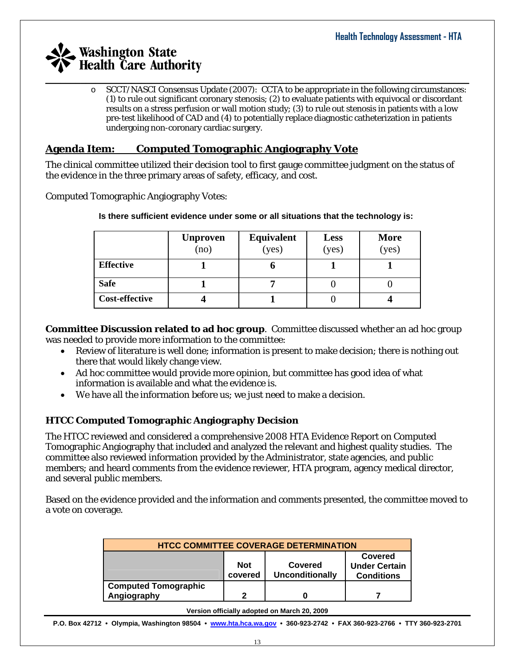$\_$  , and the set of the set of the set of the set of the set of the set of the set of the set of the set of the set of the set of the set of the set of the set of the set of the set of the set of the set of the set of th o SCCT/NASCI Consensus Update (2007): CCTA to be appropriate in the following circumstances: (1) to rule out significant coronary stenosis; (2) to evaluate patients with equivocal or discordant results on a stress perfusion or wall motion study; (3) to rule out stenosis in patients with a low pre-test likelihood of CAD and (4) to potentially replace diagnostic catheterization in patients undergoing non-coronary cardiac surgery.

#### **Agenda Item: Computed Tomographic Angiography Vote**

The clinical committee utilized their decision tool to first gauge committee judgment on the status of the evidence in the three primary areas of safety, efficacy, and cost.

Computed Tomographic Angiography Votes:

|                       | <b>Unproven</b><br>(no) | Equivalent<br>(yes) | <b>Less</b><br>(yes) | <b>More</b><br>(yes) |
|-----------------------|-------------------------|---------------------|----------------------|----------------------|
| <b>Effective</b>      |                         |                     |                      |                      |
| <b>Safe</b>           |                         |                     |                      |                      |
| <b>Cost-effective</b> |                         |                     |                      |                      |

**Is there sufficient evidence under some or all situations that the technology is:** 

**Committee Discussion related to ad hoc group**. Committee discussed whether an ad hoc group was needed to provide more information to the committee:

- Review of literature is well done; information is present to make decision; there is nothing out there that would likely change view.
- Ad hoc committee would provide more opinion, but committee has good idea of what information is available and what the evidence is.
- We have all the information before us; we just need to make a decision.

#### **HTCC Computed Tomographic Angiography Decision**

The HTCC reviewed and considered a comprehensive 2008 HTA Evidence Report on Computed Tomographic Angiography that included and analyzed the relevant and highest quality studies. The committee also reviewed information provided by the Administrator, state agencies, and public members; and heard comments from the evidence reviewer, HTA program, agency medical director, and several public members.

Based on the evidence provided and the information and comments presented, the committee moved to a vote on coverage.

| <b>HTCC COMMITTEE COVERAGE DETERMINATION</b>                                                                       |   |  |  |  |  |  |
|--------------------------------------------------------------------------------------------------------------------|---|--|--|--|--|--|
| Covered<br><b>Not</b><br><b>Under Certain</b><br>Covered<br><b>Unconditionally</b><br>covered<br><b>Conditions</b> |   |  |  |  |  |  |
| <b>Computed Tomographic</b>                                                                                        |   |  |  |  |  |  |
| Angiography                                                                                                        | າ |  |  |  |  |  |

#### **Version officially adopted on March 20, 2009**